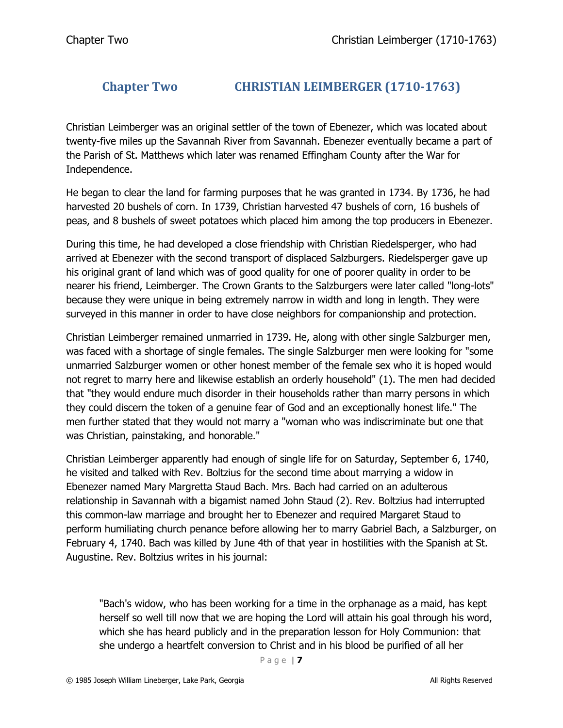## **Chapter Two CHRISTIAN LEIMBERGER (1710-1763)**

Christian Leimberger was an original settler of the town of Ebenezer, which was located about twenty-five miles up the Savannah River from Savannah. Ebenezer eventually became a part of the Parish of St. Matthews which later was renamed Effingham County after the War for Independence.

He began to clear the land for farming purposes that he was granted in 1734. By 1736, he had harvested 20 bushels of corn. In 1739, Christian harvested 47 bushels of corn, 16 bushels of peas, and 8 bushels of sweet potatoes which placed him among the top producers in Ebenezer.

During this time, he had developed a close friendship with Christian Riedelsperger, who had arrived at Ebenezer with the second transport of displaced Salzburgers. Riedelsperger gave up his original grant of land which was of good quality for one of poorer quality in order to be nearer his friend, Leimberger. The Crown Grants to the Salzburgers were later called "long-lots" because they were unique in being extremely narrow in width and long in length. They were surveyed in this manner in order to have close neighbors for companionship and protection.

Christian Leimberger remained unmarried in 1739. He, along with other single Salzburger men, was faced with a shortage of single females. The single Salzburger men were looking for "some unmarried Salzburger women or other honest member of the female sex who it is hoped would not regret to marry here and likewise establish an orderly household" (1). The men had decided that "they would endure much disorder in their households rather than marry persons in which they could discern the token of a genuine fear of God and an exceptionally honest life." The men further stated that they would not marry a "woman who was indiscriminate but one that was Christian, painstaking, and honorable."

Christian Leimberger apparently had enough of single life for on Saturday, September 6, 1740, he visited and talked with Rev. Boltzius for the second time about marrying a widow in Ebenezer named Mary Margretta Staud Bach. Mrs. Bach had carried on an adulterous relationship in Savannah with a bigamist named John Staud (2). Rev. Boltzius had interrupted this common-law marriage and brought her to Ebenezer and required Margaret Staud to perform humiliating church penance before allowing her to marry Gabriel Bach, a Salzburger, on February 4, 1740. Bach was killed by June 4th of that year in hostilities with the Spanish at St. Augustine. Rev. Boltzius writes in his journal:

"Bach's widow, who has been working for a time in the orphanage as a maid, has kept herself so well till now that we are hoping the Lord will attain his goal through his word, which she has heard publicly and in the preparation lesson for Holy Communion: that she undergo a heartfelt conversion to Christ and in his blood be purified of all her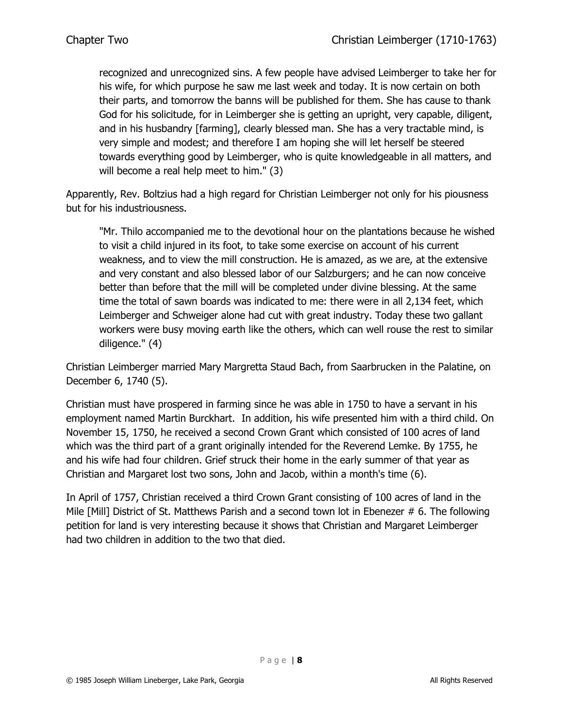recognized and unrecognized sins. A few people have advised Leimberger to take her for his wife, for which purpose he saw me last week and today. It is now certain on both their parts, and tomorrow the banns will be published for them. She has cause to thank God for his solicitude, for in Leimberger she is getting an upright, very capable, diligent, and in his husbandry [farming], clearly blessed man. She has a very tractable mind, is very simple and modest; and therefore I am hoping she will let herself be steered towards everything good by Leimberger, who is quite knowledgeable in all matters, and will become a real help meet to him." (3)

Apparently, Rev. Boltzius had a high regard for Christian Leimberger not only for his piousness but for his industriousness.

"Mr. Thilo accompanied me to the devotional hour on the plantations because he wished to visit a child injured in its foot, to take some exercise on account of his current weakness, and to view the mill construction. He is amazed, as we are, at the extensive and very constant and also blessed labor of our Salzburgers; and he can now conceive better than before that the mill will be completed under divine blessing. At the same time the total of sawn boards was indicated to me: there were in all 2,134 feet, which Leimberger and Schweiger alone had cut with great industry. Today these two gallant workers were busy moving earth like the others, which can well rouse the rest to similar diligence." (4)

Christian Leimberger married Mary Margretta Staud Bach, from Saarbrucken in the Palatine, on December 6, 1740 (5).

Christian must have prospered in farming since he was able in 1750 to have a servant in his employment named Martin Burckhart. In addition, his wife presented him with a third child. On November 15, 1750, he received a second Crown Grant which consisted of 100 acres of land which was the third part of a grant originally intended for the Reverend Lemke. By 1755, he and his wife had four children. Grief struck their home in the early summer of that year as Christian and Margaret lost two sons, John and Jacob, within a month's time (6).

In April of 1757, Christian received a third Crown Grant consisting of 100 acres of land in the Mile [Mill] District of St. Matthews Parish and a second town lot in Ebenezer # 6. The following petition for land is very interesting because it shows that Christian and Margaret Leimberger had two children in addition to the two that died.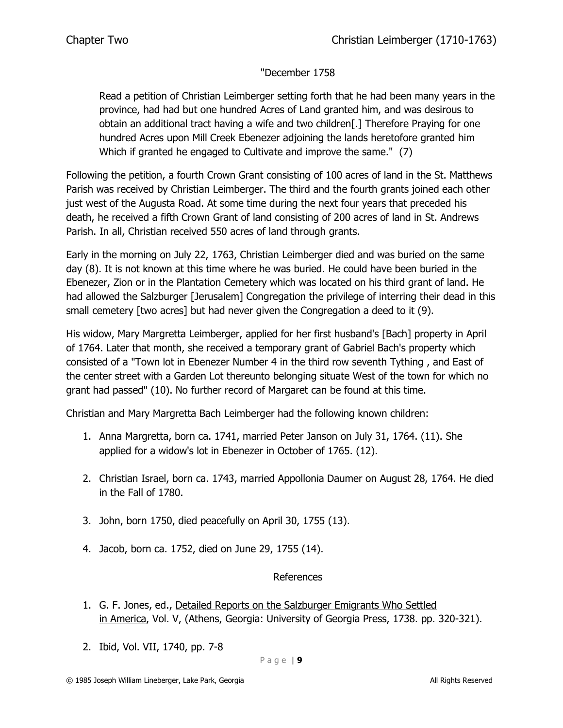## "December 1758

Read a petition of Christian Leimberger setting forth that he had been many years in the province, had had but one hundred Acres of Land granted him, and was desirous to obtain an additional tract having a wife and two children[.] Therefore Praying for one hundred Acres upon Mill Creek Ebenezer adjoining the lands heretofore granted him Which if granted he engaged to Cultivate and improve the same." (7)

Following the petition, a fourth Crown Grant consisting of 100 acres of land in the St. Matthews Parish was received by Christian Leimberger. The third and the fourth grants joined each other just west of the Augusta Road. At some time during the next four years that preceded his death, he received a fifth Crown Grant of land consisting of 200 acres of land in St. Andrews Parish. In all, Christian received 550 acres of land through grants.

Early in the morning on July 22, 1763, Christian Leimberger died and was buried on the same day (8). It is not known at this time where he was buried. He could have been buried in the Ebenezer, Zion or in the Plantation Cemetery which was located on his third grant of land. He had allowed the Salzburger [Jerusalem] Congregation the privilege of interring their dead in this small cemetery [two acres] but had never given the Congregation a deed to it (9).

His widow, Mary Margretta Leimberger, applied for her first husband's [Bach] property in April of 1764. Later that month, she received a temporary grant of Gabriel Bach's property which consisted of a "Town lot in Ebenezer Number 4 in the third row seventh Tything , and East of the center street with a Garden Lot thereunto belonging situate West of the town for which no grant had passed" (10). No further record of Margaret can be found at this time.

Christian and Mary Margretta Bach Leimberger had the following known children:

- 1. Anna Margretta, born ca. 1741, married Peter Janson on July 31, 1764. (11). She applied for a widow's lot in Ebenezer in October of 1765. (12).
- 2. Christian Israel, born ca. 1743, married Appollonia Daumer on August 28, 1764. He died in the Fall of 1780.
- 3. John, born 1750, died peacefully on April 30, 1755 (13).
- 4. Jacob, born ca. 1752, died on June 29, 1755 (14).

## References

- 1. G. F. Jones, ed., Detailed Reports on the Salzburger Emigrants Who Settled in America, Vol. V, (Athens, Georgia: University of Georgia Press, 1738. pp. 320-321).
- 2. Ibid, Vol. VII, 1740, pp. 7-8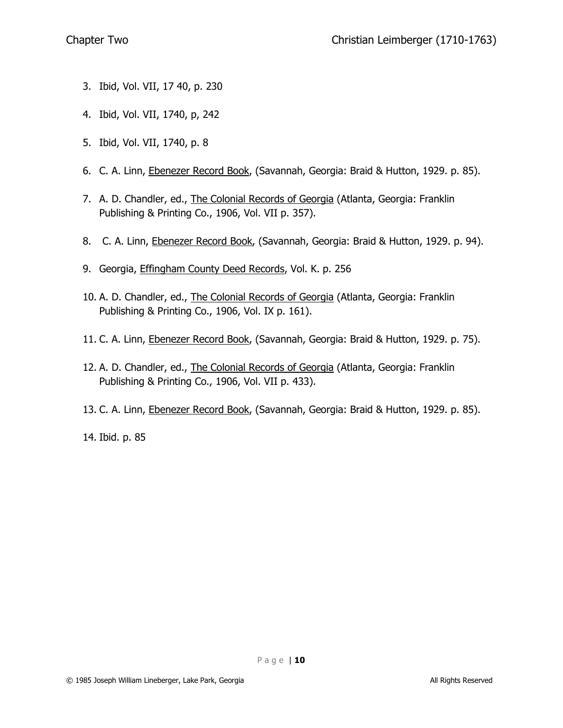- 3. Ibid, Vol. VII, 17 40, p. 230
- 4. Ibid, Vol. VII, 1740, p, 242
- 5. Ibid, Vol. VII, 1740, p. 8
- 6. C. A. Linn, Ebenezer Record Book, (Savannah, Georgia: Braid & Hutton, 1929. p. 85).
- 7. A. D. Chandler, ed., The Colonial Records of Georgia (Atlanta, Georgia: Franklin Publishing & Printing Co., 1906, Vol. VII p. 357).
- 8. C. A. Linn, Ebenezer Record Book, (Savannah, Georgia: Braid & Hutton, 1929. p. 94).
- 9. Georgia, Effingham County Deed Records, Vol. K. p. 256
- 10. A. D. Chandler, ed., The Colonial Records of Georgia (Atlanta, Georgia: Franklin Publishing & Printing Co., 1906, Vol. IX p. 161).
- 11. C. A. Linn, Ebenezer Record Book, (Savannah, Georgia: Braid & Hutton, 1929. p. 75).
- 12. A. D. Chandler, ed., The Colonial Records of Georgia (Atlanta, Georgia: Franklin Publishing & Printing Co., 1906, Vol. VII p. 433).
- 13. C. A. Linn, Ebenezer Record Book, (Savannah, Georgia: Braid & Hutton, 1929. p. 85).

14. Ibid. p. 85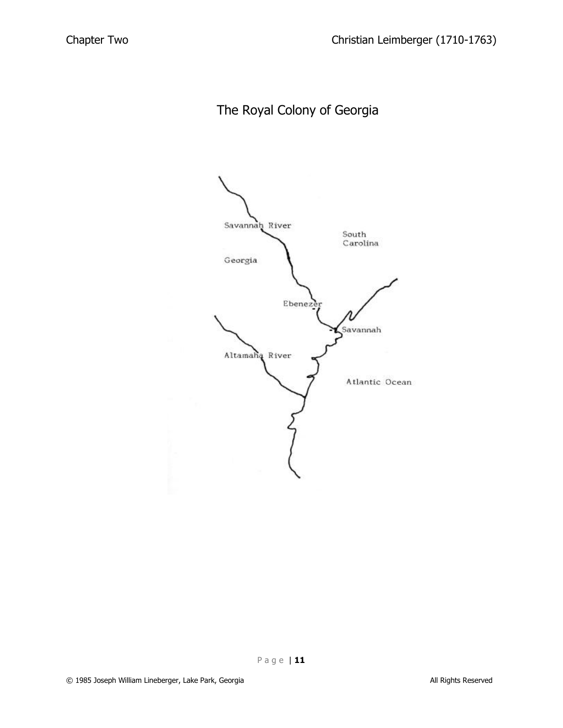The Royal Colony of Georgia